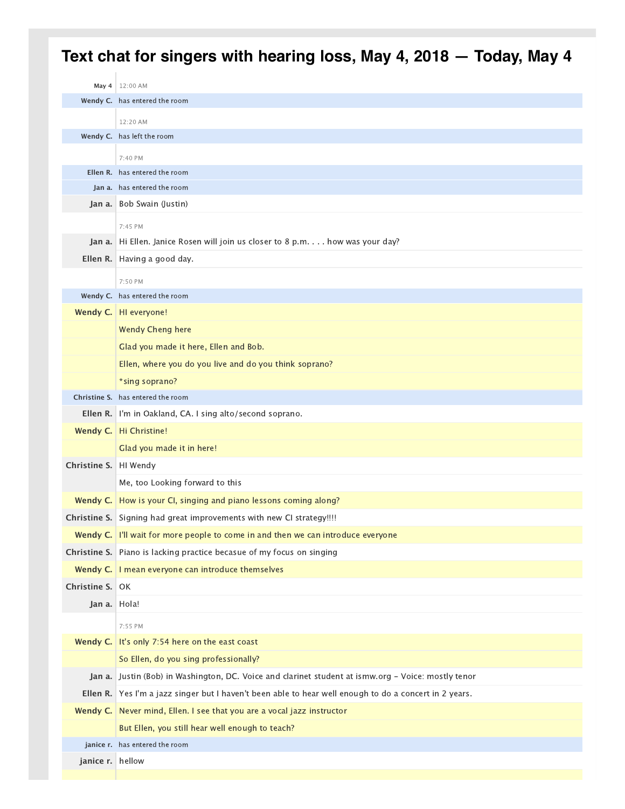## **May 4** 12:00 AM **Wendy C.** has entered the room **Wendy C.** has left the room **Ellen R.** has entered the room **Jan a.** has entered the room Jan a. Bob Swain (Justin) Jan a. Hi Ellen. Janice Rosen will join us closer to 8 p.m. . . . how was your day? Ellen R. Having a good day. **Wendy C.** has entered the room Wendy C. HI everyone! Wendy Cheng here Glad you made it here, Ellen and Bob. Ellen, where you do you live and do you think soprano? \*sing soprano? **Christine S.** has entered the room Ellen R. I'm in Oakland, CA. I sing alto/second soprano. Wendy C. | Hi Christine! Glad you made it in here! Christine S. HI Wendy Me, too Looking forward to this Wendy C. How is your CI, singing and piano lessons coming along? Christine S. Signing had great improvements with new CI strategy!!!! Wendy C. I'll wait for more people to come in and then we can introduce everyone **Christine S.** Piano is lacking practice becasue of my focus on singing Wendy C. I mean everyone can introduce themselves Christine S. OK Jan a. Hola! Wendy C. It's only 7:54 here on the east coast So Ellen, do you sing professionally? Jan a. Justin (Bob) in Washington, DC. Voice and clarinet student at ismw.org - Voice: mostly tenor Ellen R. Yes I'm a jazz singer but I haven't been able to hear well enough to do a concert in 2 years. Wendy C. Never mind, Ellen. I see that you are a vocal jazz instructor But Ellen, you still hear well enough to teach? **janice r.** has entered the room janice r. hellow 12:20 AM 7:40 PM 7:45 PM 7:50 PM 7:55 PM **Text chat for singers with hearing loss, May 4, 2018 — Today, May 4**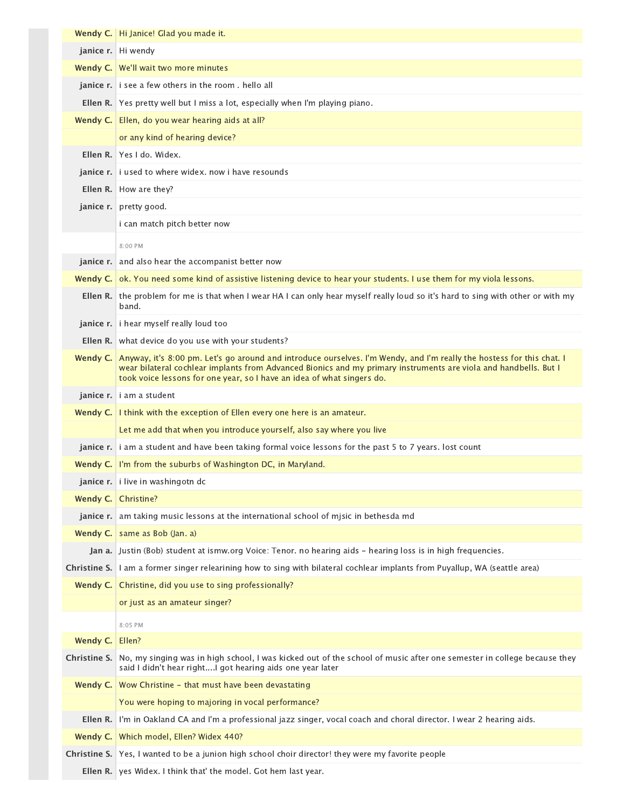|                 | Wendy C.   Hi Janice! Glad you made it.                                                                                                                                                                                                                                                                                      |
|-----------------|------------------------------------------------------------------------------------------------------------------------------------------------------------------------------------------------------------------------------------------------------------------------------------------------------------------------------|
|                 | janice r. Hi wendy                                                                                                                                                                                                                                                                                                           |
|                 | Wendy C. We'll wait two more minutes                                                                                                                                                                                                                                                                                         |
|                 | <b>janice r.</b> i see a few others in the room . hello all                                                                                                                                                                                                                                                                  |
|                 | <b>Ellen R.</b> Yes pretty well but I miss a lot, especially when I'm playing piano.                                                                                                                                                                                                                                         |
|                 | Wendy C.   Ellen, do you wear hearing aids at all?                                                                                                                                                                                                                                                                           |
|                 | or any kind of hearing device?                                                                                                                                                                                                                                                                                               |
|                 | Ellen R. Yes Ldo, Widex.                                                                                                                                                                                                                                                                                                     |
|                 | <b>janice r.</b> <i>i</i> used to where widex, now i have resounds                                                                                                                                                                                                                                                           |
|                 | <b>Ellen R.</b> How are they?                                                                                                                                                                                                                                                                                                |
|                 | janice r. pretty good.                                                                                                                                                                                                                                                                                                       |
|                 | i can match pitch better now                                                                                                                                                                                                                                                                                                 |
|                 | 8:00 PM                                                                                                                                                                                                                                                                                                                      |
|                 | <b>janice r.</b> and also hear the accompanist better now                                                                                                                                                                                                                                                                    |
|                 | Wendy C. ok. You need some kind of assistive listening device to hear your students. I use them for my viola lessons.                                                                                                                                                                                                        |
|                 | Ellen R. the problem for me is that when I wear HA I can only hear myself really loud so it's hard to sing with other or with my<br>band.                                                                                                                                                                                    |
|                 | janice r. i hear myself really loud too                                                                                                                                                                                                                                                                                      |
|                 | <b>Ellen R.</b> what device do you use with your students?                                                                                                                                                                                                                                                                   |
|                 | Wendy C. Anyway, it's 8:00 pm. Let's go around and introduce ourselves. I'm Wendy, and I'm really the hostess for this chat. I<br>wear bilateral cochlear implants from Advanced Bionics and my primary instruments are viola and handbells. But I<br>took voice lessons for one year, so I have an idea of what singers do. |
|                 | janice r. i am a student                                                                                                                                                                                                                                                                                                     |
|                 | Wendy C.   I think with the exception of Ellen every one here is an amateur.                                                                                                                                                                                                                                                 |
|                 | Let me add that when you introduce yourself, also say where you live                                                                                                                                                                                                                                                         |
|                 | janice r.   i am a student and have been taking formal voice lessons for the past 5 to 7 years. lost count                                                                                                                                                                                                                   |
|                 | Wendy C. I'm from the suburbs of Washington DC, in Maryland.                                                                                                                                                                                                                                                                 |
|                 | janice r. i live in washingotn dc                                                                                                                                                                                                                                                                                            |
|                 | Wendy C. Christine?                                                                                                                                                                                                                                                                                                          |
|                 | janice r. am taking music lessons at the international school of misic in bethesda md                                                                                                                                                                                                                                        |
|                 | Wendy C.   same as Bob (Jan. a)                                                                                                                                                                                                                                                                                              |
|                 | Jan a. Justin (Bob) student at ismw.org Voice: Tenor. no hearing aids - hearing loss is in high frequencies.                                                                                                                                                                                                                 |
|                 | Christine S. I am a former singer relearining how to sing with bilateral cochlear implants from Puyallup, WA (seattle area)                                                                                                                                                                                                  |
|                 | <b>Wendy C.</b> Christine, did you use to sing professionally?                                                                                                                                                                                                                                                               |
|                 | or just as an amateur singer?                                                                                                                                                                                                                                                                                                |
|                 | 8:05 PM                                                                                                                                                                                                                                                                                                                      |
| Wendy C. Ellen? |                                                                                                                                                                                                                                                                                                                              |
| Christine S.    | No, my singing was in high school, I was kicked out of the school of music after one semester in college because they<br>said I didn't hear rightI got hearing aids one year later                                                                                                                                           |
|                 | <b>Wendy C.</b> Wow Christine - that must have been devastating                                                                                                                                                                                                                                                              |
|                 | You were hoping to majoring in vocal performance?                                                                                                                                                                                                                                                                            |
|                 | Ellen R. I'm in Oakland CA and I'm a professional jazz singer, vocal coach and choral director. I wear 2 hearing aids.                                                                                                                                                                                                       |
|                 | Wendy C. Which model, Ellen? Widex 440?                                                                                                                                                                                                                                                                                      |
|                 | Christine S. Yes, I wanted to be a junion high school choir director! they were my favorite people                                                                                                                                                                                                                           |
|                 | Ellen R. yes Widex. I think that' the model. Got hem last year.                                                                                                                                                                                                                                                              |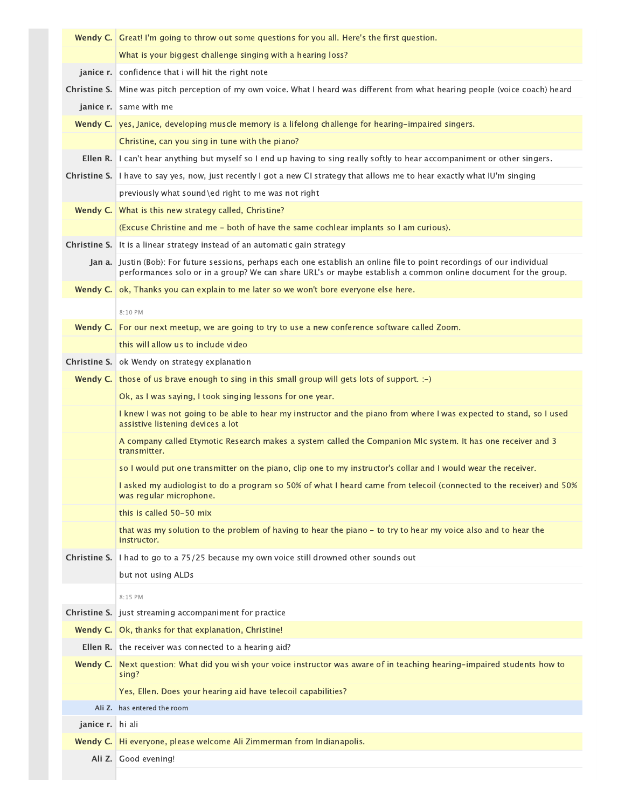|                  | <b>Wendy C.</b> Great! I'm going to throw out some questions for you all. Here's the first question.                                                                                                                                        |
|------------------|---------------------------------------------------------------------------------------------------------------------------------------------------------------------------------------------------------------------------------------------|
|                  | What is your biggest challenge singing with a hearing loss?                                                                                                                                                                                 |
|                  | janice r. confidence that i will hit the right note                                                                                                                                                                                         |
|                  | Christine S. Mine was pitch perception of my own voice. What I heard was different from what hearing people (voice coach) heard                                                                                                             |
|                  | janice r. same with me                                                                                                                                                                                                                      |
|                  | Wendy C. yes, Janice, developing muscle memory is a lifelong challenge for hearing-impaired singers.                                                                                                                                        |
|                  | Christine, can you sing in tune with the piano?                                                                                                                                                                                             |
| Ellen R.         | I can't hear anything but myself so I end up having to sing really softly to hear accompaniment or other singers.                                                                                                                           |
|                  | Christine S. I have to say yes, now, just recently I got a new CI strategy that allows me to hear exactly what IU'm singing                                                                                                                 |
|                  | previously what sound\ed right to me was not right                                                                                                                                                                                          |
|                  | <b>Wendy C.</b> What is this new strategy called, Christine?                                                                                                                                                                                |
|                  | (Excuse Christine and me - both of have the same cochlear implants so I am curious).                                                                                                                                                        |
|                  | <b>Christine S.</b> It is a linear strategy instead of an automatic gain strategy                                                                                                                                                           |
|                  | Jan a. Justin (Bob): For future sessions, perhaps each one establish an online file to point recordings of our individual<br>performances solo or in a group? We can share URL's or maybe establish a common online document for the group. |
|                  | Wendy C.   ok, Thanks you can explain to me later so we won't bore everyone else here.                                                                                                                                                      |
|                  | 8:10 PM                                                                                                                                                                                                                                     |
|                  | <b>Wendy C.</b> For our next meetup, we are going to try to use a new conference software called Zoom.                                                                                                                                      |
|                  | this will allow us to include video                                                                                                                                                                                                         |
|                  | <b>Christine S.</b> ok Wendy on strategy explanation                                                                                                                                                                                        |
|                  | Wendy C. those of us brave enough to sing in this small group will gets lots of support. $:-)$                                                                                                                                              |
|                  | Ok, as I was saying, I took singing lessons for one year.                                                                                                                                                                                   |
|                  | I knew I was not going to be able to hear my instructor and the piano from where I was expected to stand, so I used<br>assistive listening devices a lot                                                                                    |
|                  | A company called Etymotic Research makes a system called the Companion MIc system. It has one receiver and 3<br>transmitter.                                                                                                                |
|                  | so I would put one transmitter on the piano, clip one to my instructor's collar and I would wear the receiver.                                                                                                                              |
|                  | I asked my audiologist to do a program so 50% of what I heard came from telecoil (connected to the receiver) and 50%<br>was regular microphone.                                                                                             |
|                  | this is called 50-50 mix                                                                                                                                                                                                                    |
|                  | that was my solution to the problem of having to hear the piano - to try to hear my voice also and to hear the<br>instructor.                                                                                                               |
| Christine S.     | I had to go to a 75/25 because my own voice still drowned other sounds out                                                                                                                                                                  |
|                  | but not using ALDs                                                                                                                                                                                                                          |
|                  | 8:15 PM                                                                                                                                                                                                                                     |
|                  | <b>Christine S.</b> just streaming accompaniment for practice                                                                                                                                                                               |
| Wendy $C.$       | Ok, thanks for that explanation, Christine!                                                                                                                                                                                                 |
|                  | Ellen R. the receiver was connected to a hearing aid?                                                                                                                                                                                       |
| Wendy C.         | Next question: What did you wish your voice instructor was aware of in teaching hearing-impaired students how to<br>sing?                                                                                                                   |
|                  | Yes, Ellen. Does your hearing aid have telecoil capabilities?                                                                                                                                                                               |
|                  | Ali Z. has entered the room                                                                                                                                                                                                                 |
| janice r. hi ali |                                                                                                                                                                                                                                             |
| Wendy C.         | Hi everyone, please welcome Ali Zimmerman from Indianapolis.                                                                                                                                                                                |
|                  | Ali Z. Good evening!                                                                                                                                                                                                                        |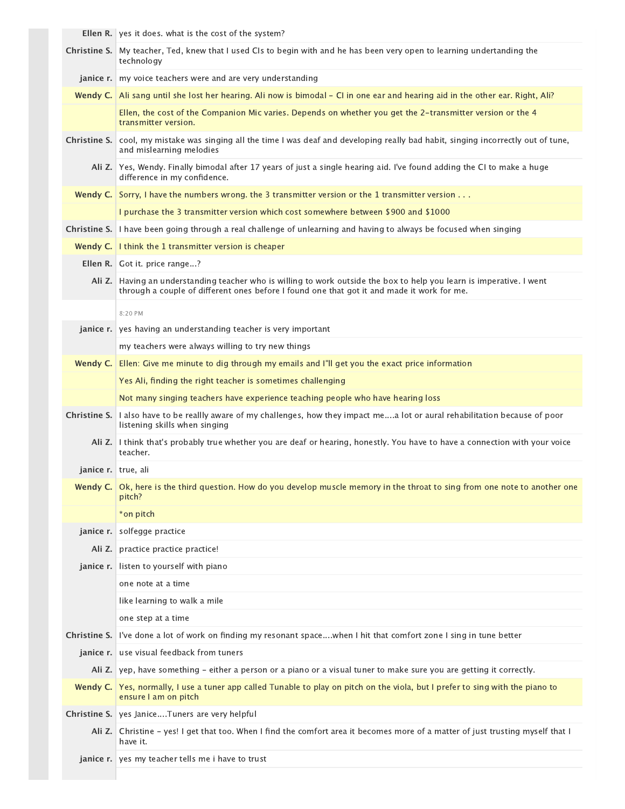Ellen R. yes it does. what is the cost of the system?

|                     | Christine S. My teacher, Ted, knew that I used CIs to begin with and he has been very open to learning undertanding the<br>technology                                                                               |
|---------------------|---------------------------------------------------------------------------------------------------------------------------------------------------------------------------------------------------------------------|
|                     | <b>janice r.</b> my voice teachers were and are very understanding                                                                                                                                                  |
|                     | Wendy C. Ali sang until she lost her hearing. Ali now is bimodal – CI in one ear and hearing aid in the other ear. Right, Ali?                                                                                      |
|                     | Ellen, the cost of the Companion Mic varies. Depends on whether you get the 2-transmitter version or the 4<br>transmitter version.                                                                                  |
| Christine S.        | cool, my mistake was singing all the time I was deaf and developing really bad habit, singing incorrectly out of tune,<br>and mislearning melodies                                                                  |
|                     | Ali Z. Yes, Wendy. Finally bimodal after 17 years of just a single hearing aid. I've found adding the CI to make a huge<br>difference in my confidence.                                                             |
|                     | Wendy C. Sorry, I have the numbers wrong. the 3 transmitter version or the 1 transmitter version                                                                                                                    |
|                     | I purchase the 3 transmitter version which cost somewhere between \$900 and \$1000                                                                                                                                  |
|                     | Christine S.   I have been going through a real challenge of unlearning and having to always be focused when singing                                                                                                |
|                     | Wendy C.   I think the 1 transmitter version is cheaper                                                                                                                                                             |
|                     | Ellen R. Got it. price range?                                                                                                                                                                                       |
|                     | Ali Z. Having an understanding teacher who is willing to work outside the box to help you learn is imperative. I went<br>through a couple of different ones before I found one that got it and made it work for me. |
|                     | 8:20 PM                                                                                                                                                                                                             |
|                     | <b>janice r.</b> yes having an understanding teacher is very important                                                                                                                                              |
|                     | my teachers were always willing to try new things                                                                                                                                                                   |
| Wendy C.            | Ellen: Give me minute to dig through my emails and I'll get you the exact price information                                                                                                                         |
|                     | Yes Ali, finding the right teacher is sometimes challenging                                                                                                                                                         |
|                     | Not many singing teachers have experience teaching people who have hearing loss                                                                                                                                     |
| Christine S.        | I also have to be reallly aware of my challenges, how they impact mea lot or aural rehabilitation because of poor<br>listening skills when singing                                                                  |
|                     | Ali Z. I think that's probably true whether you are deaf or hearing, honestly. You have to have a connection with your voice<br>teacher.                                                                            |
| janice r. true, ali |                                                                                                                                                                                                                     |
|                     | Wendy C.   Ok, here is the third question. How do you develop muscle memory in the throat to sing from one note to another one<br>pitch?                                                                            |
|                     | *on pitch                                                                                                                                                                                                           |
| janice r.           | solfegge practice                                                                                                                                                                                                   |
| Ali Z.              | practice practice practice!                                                                                                                                                                                         |
| janice r.           | listen to yourself with piano                                                                                                                                                                                       |
|                     | one note at a time                                                                                                                                                                                                  |
|                     | like learning to walk a mile                                                                                                                                                                                        |
|                     | one step at a time                                                                                                                                                                                                  |
| Christine S.        | I've done a lot of work on finding my resonant spacewhen I hit that comfort zone I sing in tune better                                                                                                              |
|                     | janice r. use visual feedback from tuners                                                                                                                                                                           |
|                     | Ali Z.   yep, have something - either a person or a piano or a visual tuner to make sure you are getting it correctly.                                                                                              |
|                     | Wendy C. Yes, normally, I use a tuner app called Tunable to play on pitch on the viola, but I prefer to sing with the piano to<br>ensure I am on pitch                                                              |
|                     | Christine S.   yes JaniceTuners are very helpful                                                                                                                                                                    |
| Ali Z. I            | Christine - yes! I get that too. When I find the comfort area it becomes more of a matter of just trusting myself that I<br>have it.                                                                                |
|                     | janice r. yes my teacher tells me i have to trust                                                                                                                                                                   |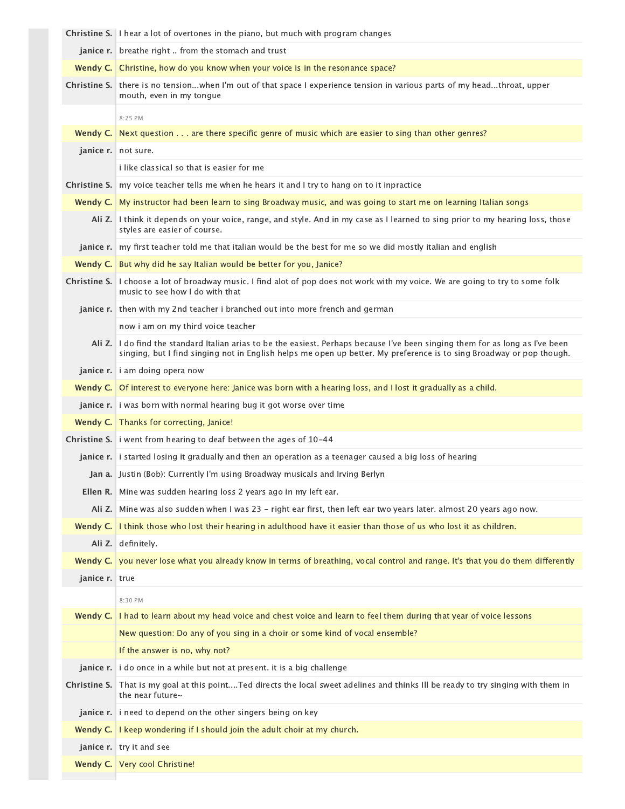|                | <b>Christine S.</b> I hear a lot of overtones in the piano, but much with program changes                                                                                                                                                              |
|----------------|--------------------------------------------------------------------------------------------------------------------------------------------------------------------------------------------------------------------------------------------------------|
|                | <b>janice r.</b> breathe right  from the stomach and trust                                                                                                                                                                                             |
|                | Wendy C. Christine, how do you know when your voice is in the resonance space?                                                                                                                                                                         |
|                | Christine S. there is no tensionwhen I'm out of that space I experience tension in various parts of my headthroat, upper<br>mouth, even in my tonque                                                                                                   |
|                | 8:25 PM                                                                                                                                                                                                                                                |
|                | Wendy C. Next question are there specific genre of music which are easier to sing than other genres?                                                                                                                                                   |
|                | janice r. not sure.                                                                                                                                                                                                                                    |
|                | i like classical so that is easier for me                                                                                                                                                                                                              |
| Christine S.   | my voice teacher tells me when he hears it and I try to hang on to it inpractice                                                                                                                                                                       |
|                | Wendy C. My instructor had been learn to sing Broadway music, and was going to start me on learning Italian songs                                                                                                                                      |
|                | Ali Z. I think it depends on your voice, range, and style. And in my case as I learned to sing prior to my hearing loss, those<br>styles are easier of course.                                                                                         |
|                | janice r.   my first teacher told me that italian would be the best for me so we did mostly italian and english                                                                                                                                        |
|                | <b>Wendy C.</b> But why did he say Italian would be better for you, Janice?                                                                                                                                                                            |
|                | Christine S. I choose a lot of broadway music. I find alot of pop does not work with my voice. We are going to try to some folk<br>music to see how I do with that                                                                                     |
|                | <b>janice r.</b> then with my 2nd teacher i branched out into more french and german                                                                                                                                                                   |
|                | now i am on my third voice teacher                                                                                                                                                                                                                     |
|                | Ali Z. I do find the standard Italian arias to be the easiest. Perhaps because I've been singing them for as long as I've been<br>singing, but I find singing not in English helps me open up better. My preference is to sing Broadway or pop though. |
|                | janice r. i am doing opera now                                                                                                                                                                                                                         |
|                | Wendy C. Of interest to everyone here: Janice was born with a hearing loss, and I lost it gradually as a child.                                                                                                                                        |
|                | janice r. i was born with normal hearing bug it got worse over time                                                                                                                                                                                    |
|                | Wendy C.   Thanks for correcting, Janice!                                                                                                                                                                                                              |
|                | <b>Christine S.</b> i went from hearing to deaf between the ages of 10-44                                                                                                                                                                              |
|                | janice r. i started losing it gradually and then an operation as a teenager caused a big loss of hearing                                                                                                                                               |
|                | Jan a. Justin (Bob): Currently I'm using Broadway musicals and Irving Berlyn                                                                                                                                                                           |
|                | Ellen R. Mine was sudden hearing loss 2 years ago in my left ear.                                                                                                                                                                                      |
| Ali Z.         | Mine was also sudden when I was 23 - right ear first, then left ear two years later. almost 20 years ago now.                                                                                                                                          |
| Wendy C.       | I think those who lost their hearing in adulthood have it easier than those of us who lost it as children.                                                                                                                                             |
| Ali Z.         | definitely.                                                                                                                                                                                                                                            |
| Wendy C.       | you never lose what you already know in terms of breathing, vocal control and range. It's that you do them differently                                                                                                                                 |
| janice r. true |                                                                                                                                                                                                                                                        |
|                | 8:30 PM                                                                                                                                                                                                                                                |
| Wendy C.       | I had to learn about my head voice and chest voice and learn to feel them during that year of voice lessons                                                                                                                                            |
|                | New question: Do any of you sing in a choir or some kind of vocal ensemble?                                                                                                                                                                            |
|                | If the answer is no, why not?                                                                                                                                                                                                                          |
|                | janice r. i do once in a while but not at present. it is a big challenge                                                                                                                                                                               |
|                | Christine S. That is my goal at this pointTed directs the local sweet adelines and thinks III be ready to try singing with them in<br>the near future $\sim$                                                                                           |
|                | janice r. i need to depend on the other singers being on key                                                                                                                                                                                           |
|                | <b>Wendy C.</b> I keep wondering if I should join the adult choir at my church.                                                                                                                                                                        |
|                | janice r. try it and see                                                                                                                                                                                                                               |
|                |                                                                                                                                                                                                                                                        |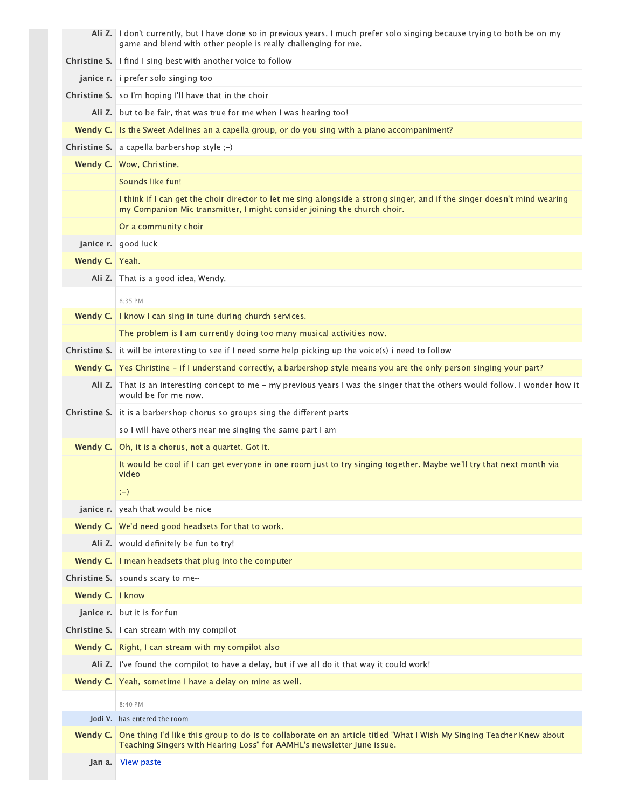|                   | Ali Z. I don't currently, but I have done so in previous years. I much prefer solo singing because trying to both be on my<br>game and blend with other people is really challenging for me.             |
|-------------------|----------------------------------------------------------------------------------------------------------------------------------------------------------------------------------------------------------|
|                   | <b>Christine S.</b> I find I sing best with another voice to follow                                                                                                                                      |
|                   | janice r. i prefer solo singing too                                                                                                                                                                      |
|                   | <b>Christine S.</b> so I'm hoping I'll have that in the choir                                                                                                                                            |
|                   | Ali Z. but to be fair, that was true for me when I was hearing too!                                                                                                                                      |
| Wendy $C.$        | Is the Sweet Adelines an a capella group, or do you sing with a piano accompaniment?                                                                                                                     |
|                   | <b>Christine S.</b> a capella barbershop style $;-$                                                                                                                                                      |
|                   | Wendy C.   Wow, Christine.                                                                                                                                                                               |
|                   | Sounds like fun!                                                                                                                                                                                         |
|                   | I think if I can get the choir director to let me sing alongside a strong singer, and if the singer doesn't mind wearing<br>my Companion Mic transmitter, I might consider joining the church choir.     |
|                   | Or a community choir                                                                                                                                                                                     |
|                   | janice r.   good luck                                                                                                                                                                                    |
| Wendy C. Yeah.    |                                                                                                                                                                                                          |
|                   | Ali Z. That is a good idea, Wendy.                                                                                                                                                                       |
|                   | 8:35 PM                                                                                                                                                                                                  |
|                   | Wendy C.   I know I can sing in tune during church services.                                                                                                                                             |
|                   | The problem is I am currently doing too many musical activities now.                                                                                                                                     |
|                   | Christine S. it will be interesting to see if I need some help picking up the voice(s) i need to follow                                                                                                  |
|                   | Wendy C. Yes Christine – if I understand correctly, a barbershop style means you are the only person singing your part?                                                                                  |
|                   | Ali Z. That is an interesting concept to me - my previous years I was the singer that the others would follow. I wonder how it<br>would be for me now.                                                   |
|                   | <b>Christine S.</b> it is a barbershop chorus so groups sing the different parts                                                                                                                         |
|                   | so I will have others near me singing the same part I am                                                                                                                                                 |
| Wendy C.          | Oh, it is a chorus, not a quartet. Got it.                                                                                                                                                               |
|                   | It would be cool if I can get everyone in one room just to try singing together. Maybe we'll try that next month via<br>video                                                                            |
|                   | $(-)$                                                                                                                                                                                                    |
|                   | janice r. veah that would be nice                                                                                                                                                                        |
|                   | Wendy C.   We'd need good headsets for that to work.                                                                                                                                                     |
|                   | Ali Z. would definitely be fun to try!                                                                                                                                                                   |
|                   | <b>Wendy C.</b> $\vert$ I mean headsets that plug into the computer                                                                                                                                      |
|                   | Christine S. sounds scary to me $\sim$                                                                                                                                                                   |
| Wendy C.   I know |                                                                                                                                                                                                          |
|                   | janice r. but it is for fun                                                                                                                                                                              |
|                   | <b>Christine S.</b> I can stream with my compilot                                                                                                                                                        |
|                   | Wendy C.   Right, I can stream with my compilot also                                                                                                                                                     |
|                   | Ali Z. I've found the compilot to have a delay, but if we all do it that way it could work!                                                                                                              |
|                   | Wendy C. Yeah, sometime I have a delay on mine as well.                                                                                                                                                  |
|                   | 8:40 PM                                                                                                                                                                                                  |
|                   | <b>Iodi V.</b> has entered the room                                                                                                                                                                      |
|                   | Wendy C. One thing I'd like this group to do is to collaborate on an article titled "What I Wish My Singing Teacher Knew about<br>Teaching Singers with Hearing Loss" for AAMHL's newsletter June issue. |
| Jan a.            | View paste                                                                                                                                                                                               |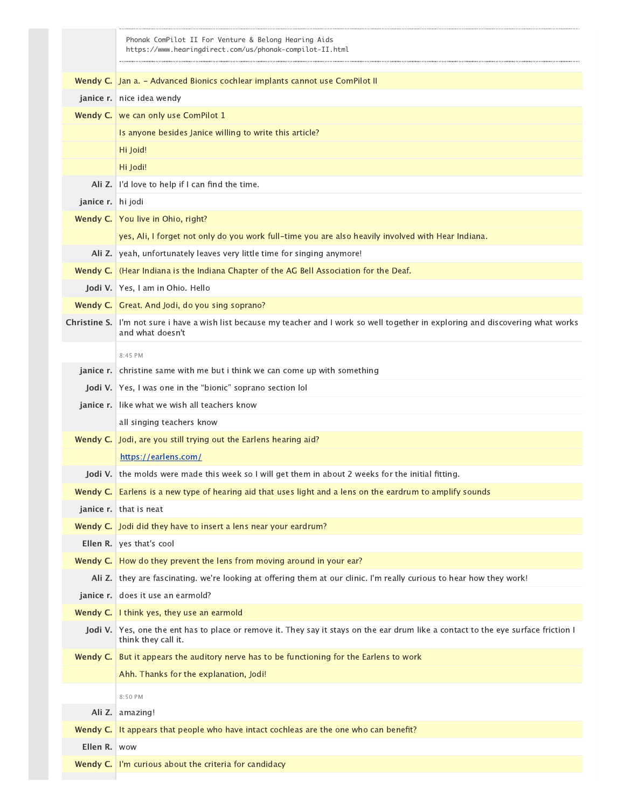|                   | Phonak ComPilot II For Venture & Belong Hearing Aids<br>https://www.hearingdirect.com/us/phonak-compilot-II.html                                          |
|-------------------|-----------------------------------------------------------------------------------------------------------------------------------------------------------|
|                   |                                                                                                                                                           |
|                   | Wendy C.   Jan a. - Advanced Bionics cochlear implants cannot use ComPilot II                                                                             |
|                   | janice r. nice idea wendy                                                                                                                                 |
|                   | Wendy C.   we can only use ComPilot 1                                                                                                                     |
|                   | Is anyone besides Janice willing to write this article?                                                                                                   |
|                   | Hi Joid!                                                                                                                                                  |
|                   | Hi Jodi!                                                                                                                                                  |
| Ali Z.            | I'd love to help if I can find the time.                                                                                                                  |
| janice r. hi jodi |                                                                                                                                                           |
|                   | Wendy C.   You live in Ohio, right?                                                                                                                       |
|                   | yes, Ali, I forget not only do you work full-time you are also heavily involved with Hear Indiana.                                                        |
| Ali Z.            | yeah, unfortunately leaves very little time for singing anymore!                                                                                          |
|                   | Wendy C. (Hear Indiana is the Indiana Chapter of the AG Bell Association for the Deaf.                                                                    |
|                   | Jodi V. Yes, I am in Ohio. Hello                                                                                                                          |
|                   | Wendy C.   Great. And Jodi, do you sing soprano?                                                                                                          |
| Christine S.      | I'm not sure i have a wish list because my teacher and I work so well together in exploring and discovering what works<br>and what doesn't                |
|                   | 8:45 PM                                                                                                                                                   |
| janice r.         | christine same with me but i think we can come up with something                                                                                          |
|                   | <b>Jodi V.</b> Yes, I was one in the "bionic" soprano section lol                                                                                         |
|                   | janice r. like what we wish all teachers know                                                                                                             |
|                   | all singing teachers know                                                                                                                                 |
|                   | Wendy C. Jodi, are you still trying out the Earlens hearing aid?                                                                                          |
|                   | https://earlens.com/                                                                                                                                      |
| Jodi V.           | the molds were made this week so I will get them in about 2 weeks for the initial fitting.                                                                |
| Wendy C.          | Earlens is a new type of hearing aid that uses light and a lens on the eardrum to amplify sounds                                                          |
|                   | janice r. that is neat                                                                                                                                    |
|                   | <b>Wendy C.</b> Jodi did they have to insert a lens near your eardrum?                                                                                    |
|                   | Ellen R. yes that's cool                                                                                                                                  |
|                   | Wendy C.   How do they prevent the lens from moving around in your ear?                                                                                   |
|                   | Ali Z. they are fascinating. we're looking at offering them at our clinic. I'm really curious to hear how they work!                                      |
|                   | janice r. does it use an earmold?                                                                                                                         |
|                   | Wendy C.   I think yes, they use an earmold                                                                                                               |
|                   | Jodi V. Yes, one the ent has to place or remove it. They say it stays on the ear drum like a contact to the eye surface friction I<br>think they call it. |
| Wendy C.          | But it appears the auditory nerve has to be functioning for the Earlens to work                                                                           |
|                   | Ahh. Thanks for the explanation, Jodi!                                                                                                                    |
|                   | 8:50 PM                                                                                                                                                   |
|                   | Ali Z. amazing!                                                                                                                                           |
| Wendy C.          | It appears that people who have intact cochleas are the one who can benefit?                                                                              |
| Ellen R. wow      |                                                                                                                                                           |
|                   | <b>Wendy C.</b> I'm curious about the criteria for candidacy                                                                                              |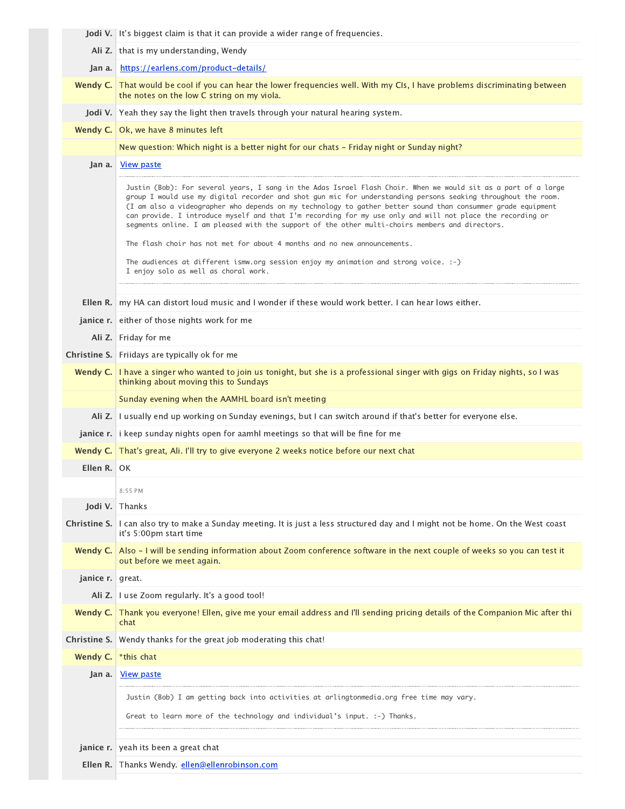|                  | <b>Jodi V.</b> It's biggest claim is that it can provide a wider range of frequencies.                                                                                                                                                                                                                                                                                                                                                                                                                                                                           |
|------------------|------------------------------------------------------------------------------------------------------------------------------------------------------------------------------------------------------------------------------------------------------------------------------------------------------------------------------------------------------------------------------------------------------------------------------------------------------------------------------------------------------------------------------------------------------------------|
|                  | Ali Z. that is my understanding, Wendy                                                                                                                                                                                                                                                                                                                                                                                                                                                                                                                           |
| Jan a.           | https://earlens.com/product-details/                                                                                                                                                                                                                                                                                                                                                                                                                                                                                                                             |
|                  | Wendy C. That would be cool if you can hear the lower frequencies well. With my CIs, I have problems discriminating between<br>the notes on the low C string on my viola.                                                                                                                                                                                                                                                                                                                                                                                        |
|                  | Jodi V. Yeah they say the light then travels through your natural hearing system.                                                                                                                                                                                                                                                                                                                                                                                                                                                                                |
|                  | Wendy C.   Ok, we have 8 minutes left                                                                                                                                                                                                                                                                                                                                                                                                                                                                                                                            |
|                  | New question: Which night is a better night for our chats - Friday night or Sunday night?                                                                                                                                                                                                                                                                                                                                                                                                                                                                        |
| Jan a.           | View paste                                                                                                                                                                                                                                                                                                                                                                                                                                                                                                                                                       |
|                  | Justin (Bob): For several years, I sang in the Adas Israel Flash Choir. When we would sit as a part of a large<br>group I would use my digital recorder and shot gun mic for understanding persons seaking throughout the room.<br>(I am also a videographer who depends on my technology to gather better sound than consummer grade equipment<br>can provide. I introduce myself and that I'm recording for my use only and will not place the recording or<br>segments online. I am pleased with the support of the other multi-choirs members and directors. |
|                  | The flash choir has not met for about 4 months and no new announcements.                                                                                                                                                                                                                                                                                                                                                                                                                                                                                         |
|                  | The audiences at different ismw.org session enjoy my animation and strong voice. :-)<br>I enjoy solo as well as choral work.                                                                                                                                                                                                                                                                                                                                                                                                                                     |
| Ellen R.         | my HA can distort loud music and I wonder if these would work better. I can hear lows either.                                                                                                                                                                                                                                                                                                                                                                                                                                                                    |
|                  | janice r. either of those nights work for me                                                                                                                                                                                                                                                                                                                                                                                                                                                                                                                     |
|                  | Ali Z. Friday for me                                                                                                                                                                                                                                                                                                                                                                                                                                                                                                                                             |
|                  | <b>Christine S.</b> Friidays are typically ok for me                                                                                                                                                                                                                                                                                                                                                                                                                                                                                                             |
|                  | Wendy C.   I have a singer who wanted to join us tonight, but she is a professional singer with gigs on Friday nights, so I was                                                                                                                                                                                                                                                                                                                                                                                                                                  |
|                  | thinking about moving this to Sundays                                                                                                                                                                                                                                                                                                                                                                                                                                                                                                                            |
|                  | Sunday evening when the AAMHL board isn't meeting                                                                                                                                                                                                                                                                                                                                                                                                                                                                                                                |
| Ali Z.           | I usually end up working on Sunday evenings, but I can switch around if that's better for everyone else.                                                                                                                                                                                                                                                                                                                                                                                                                                                         |
|                  | janice r. i keep sunday nights open for aamhl meetings so that will be fine for me                                                                                                                                                                                                                                                                                                                                                                                                                                                                               |
|                  | Wendy C.   That's great, Ali. I'll try to give everyone 2 weeks notice before our next chat                                                                                                                                                                                                                                                                                                                                                                                                                                                                      |
| Ellen R.         | OK                                                                                                                                                                                                                                                                                                                                                                                                                                                                                                                                                               |
|                  | 8:55 PM                                                                                                                                                                                                                                                                                                                                                                                                                                                                                                                                                          |
|                  | <b>Jodi V.</b> Thanks                                                                                                                                                                                                                                                                                                                                                                                                                                                                                                                                            |
| Christine S.     | I can also try to make a Sunday meeting. It is just a less structured day and I might not be home. On the West coast<br>it's 5:00pm start time                                                                                                                                                                                                                                                                                                                                                                                                                   |
| Wendy C.         | Also - I will be sending information about Zoom conference software in the next couple of weeks so you can test it<br>out before we meet again.                                                                                                                                                                                                                                                                                                                                                                                                                  |
| janice r. great. |                                                                                                                                                                                                                                                                                                                                                                                                                                                                                                                                                                  |
|                  | Ali Z. I use Zoom regularly. It's a good tool!                                                                                                                                                                                                                                                                                                                                                                                                                                                                                                                   |
| Wendy C.         | Thank you everyone! Ellen, give me your email address and I'll sending pricing details of the Companion Mic after thi<br>chat                                                                                                                                                                                                                                                                                                                                                                                                                                    |
| Christine S.     | Wendy thanks for the great job moderating this chat!                                                                                                                                                                                                                                                                                                                                                                                                                                                                                                             |
| Wendy C.         | *this chat                                                                                                                                                                                                                                                                                                                                                                                                                                                                                                                                                       |
| Jan a.           | <u>View paste</u>                                                                                                                                                                                                                                                                                                                                                                                                                                                                                                                                                |
|                  | Justin (Bob) I am getting back into activities at arlingtonmedia.org free time may vary.                                                                                                                                                                                                                                                                                                                                                                                                                                                                         |
|                  | Great to learn more of the technology and individual's input. :-) Thanks.                                                                                                                                                                                                                                                                                                                                                                                                                                                                                        |
|                  | janice r. yeah its been a great chat                                                                                                                                                                                                                                                                                                                                                                                                                                                                                                                             |
|                  | Ellen R. Thanks Wendy. ellen@ellenrobinson.com                                                                                                                                                                                                                                                                                                                                                                                                                                                                                                                   |
|                  |                                                                                                                                                                                                                                                                                                                                                                                                                                                                                                                                                                  |